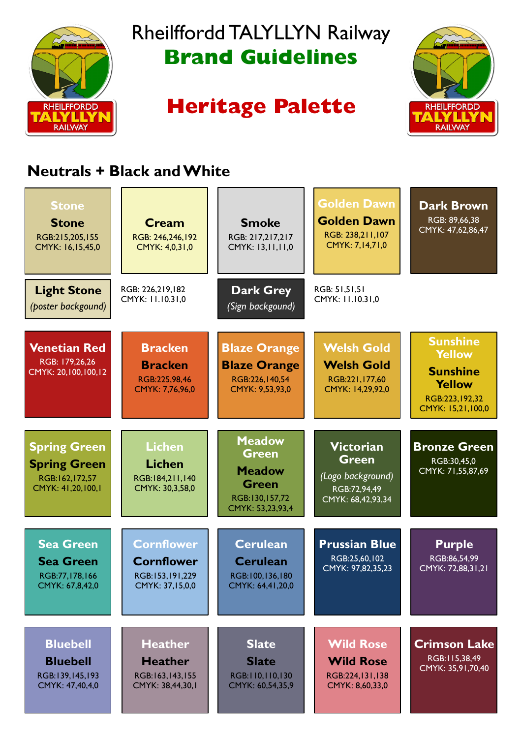

## Rheilffordd TALYLLYN Railway **Brand Guidelines**

# **Heritage Palette**



### **Neutrals + Black and White**

| <b>Stone</b><br><b>Stone</b><br>RGB:215,205,155<br>CMYK: 16,15,45,0               | Cream<br>RGB: 246,246,192<br>CMYK: 4,0,31,0                                  | <b>Smoke</b><br>RGB: 217,217,217<br>CMYK: 13,11,11,0                                                 | <b>Golden Dawn</b><br><b>Golden Dawn</b><br>RGB: 238,211,107<br>CMYK: 7,14,71,0            | <b>Dark Brown</b><br>RGB: 89,66,38<br>CMYK: 47,62,86,47                                                       |
|-----------------------------------------------------------------------------------|------------------------------------------------------------------------------|------------------------------------------------------------------------------------------------------|--------------------------------------------------------------------------------------------|---------------------------------------------------------------------------------------------------------------|
| <b>Light Stone</b><br>(poster backgound)                                          | RGB: 226,219,182<br>CMYK: 11.10.31,0                                         | <b>Dark Grey</b><br>(Sign backgound)                                                                 | RGB: 51,51,51<br>CMYK: 11.10.31,0                                                          |                                                                                                               |
| <b>Venetian Red</b><br>RGB: 179,26,26<br>CMYK: 20,100,100,12                      | <b>Bracken</b><br><b>Bracken</b><br>RGB:225,98,46<br>CMYK: 7,76,96,0         | <b>Blaze Orange</b><br><b>Blaze Orange</b><br>RGB:226,140,54<br>CMYK: 9,53,93,0                      | <b>Welsh Gold</b><br><b>Welsh Gold</b><br>RGB:221,177,60<br>CMYK: 14,29,92,0               | <b>Sunshine</b><br><b>Yellow</b><br><b>Sunshine</b><br><b>Yellow</b><br>RGB:223, 192, 32<br>CMYK: 15,21,100,0 |
| <b>Spring Green</b><br><b>Spring Green</b><br>RGB:162,172,57<br>CMYK: 41,20,100,1 | <b>Lichen</b><br><b>Lichen</b><br>RGB:184,211,140<br>CMYK: 30,3,58,0         | <b>Meadow</b><br><b>Green</b><br><b>Meadow</b><br><b>Green</b><br>RGB:130,157,72<br>CMYK: 53,23,93,4 | <b>Victorian</b><br><b>Green</b><br>(Logo background)<br>RGB:72,94,49<br>CMYK: 68,42,93,34 | <b>Bronze Green</b><br>RGB:30,45,0<br>CMYK: 71,55,87,69                                                       |
| <b>Sea Green</b><br><b>Sea Green</b><br>RGB:77,178,166<br>CMYK: 67,8,42,0         | <b>Cornflower</b><br><b>Cornflower</b><br>RGB:153,191,229<br>CMYK: 37,15,0,0 | <b>Cerulean</b><br><b>Cerulean</b><br>RGB:100,136,180<br>CMYK: 64,41,20,0                            | <b>Prussian Blue</b><br>RGB:25,60,102<br>CMYK: 97,82,35,23                                 | <b>Purple</b><br>RGB:86,54,99<br>CMYK: 72,88,31,21                                                            |
| <b>Bluebell</b><br><b>Bluebell</b><br>RGB:139,145,193<br>CMYK: 47,40,4,0          | <b>Heather</b><br><b>Heather</b><br>RGB:163,143,155<br>CMYK: 38,44,30,1      | <b>Slate</b><br><b>Slate</b><br>RGB:110,110,130<br>CMYK: 60,54,35,9                                  | <b>Wild Rose</b><br><b>Wild Rose</b><br>RGB:224,131,138<br>CMYK: 8,60,33,0                 | <b>Crimson Lake</b><br>RGB:115,38,49<br>CMYK: 35,91,70,40                                                     |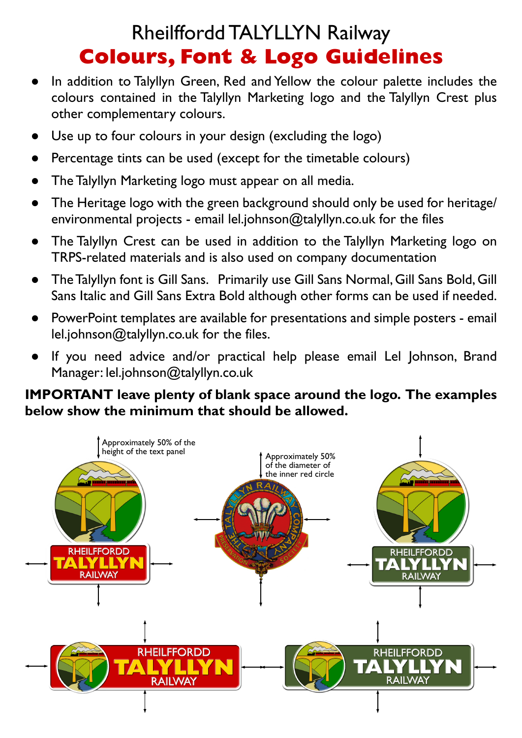### Rheilffordd TALYLLYN Railway **Colours, Font & Logo Guidelines**

- In addition to Talyllyn Green, Red and Yellow the colour palette includes the colours contained in the Talyllyn Marketing logo and the Talyllyn Crest plus other complementary colours.
- Use up to four colours in your design (excluding the logo)
- Percentage tints can be used (except for the timetable colours)
- The Talyllyn Marketing logo must appear on all media.
- The Heritage logo with the green background should only be used for heritage/ environmental projects - email lel.johnson@talyllyn.co.uk for the files
- The Talyllyn Crest can be used in addition to the Talyllyn Marketing logo on TRPS-related materials and is also used on company documentation
- TheTalyllyn font is Gill Sans. Primarily use Gill Sans Normal, Gill Sans Bold, Gill Sans Italic and Gill Sans Extra Bold although other forms can be used if needed.
- PowerPoint templates are available for presentations and simple posters email lel.johnson@talyllyn.co.uk for the files.
- If you need advice and/or practical help please email Lel Johnson, Brand Manager: lel.johnson@talyllyn.co.uk

#### **IMPORTANT leave plenty of blank space around the logo. The examples below show the minimum that should be allowed.**